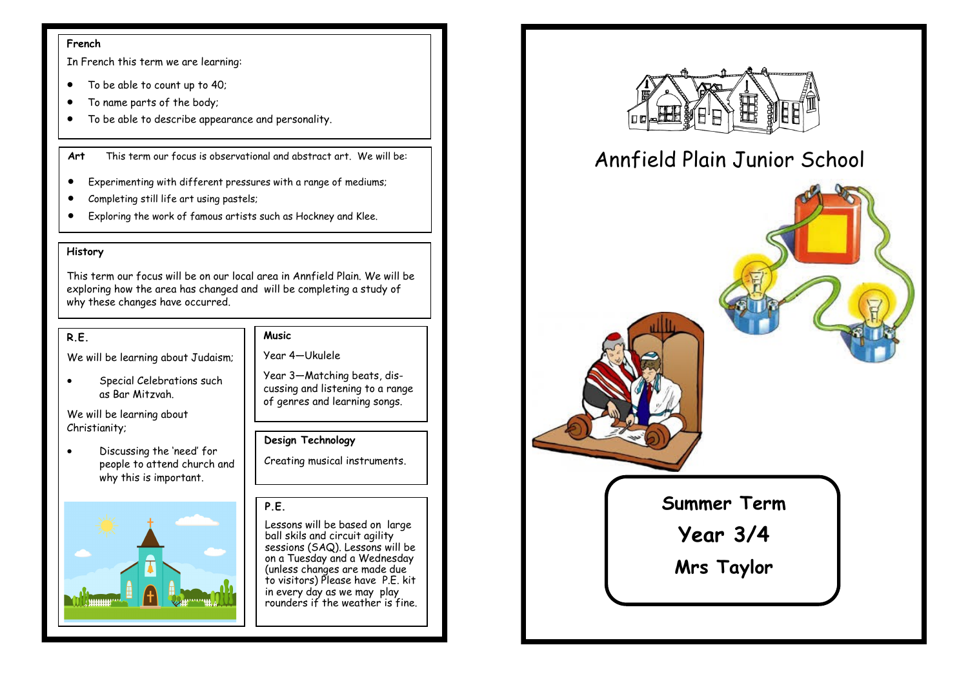#### **French**

In French this term we are learning:

- To be able to count up to 40;
- To name parts of the body;
- To be able to describe appearance and personality.

**Art** This term our focus is observational and abstract art. We will be:

- Experimenting with different pressures with a range of mediums;
- Completing still life art using pastels;
- Exploring the work of famous artists such as Hockney and Klee.

## **History**

This term our focus will be on our local area in Annfield Plain. We will be exploring how the area has changed and will be completing a study of why these changes have occurred.

### **R.E.**

We will be learning about Judaism;

• Special Celebrations such as Bar Mitzvah.

We will be learning about Christianity;

• Discussing the 'need' for people to attend church and why this is important.



### **Music**

Year 4—Ukulele

Year 3—Matching beats, discussing and listening to a range of genres and learning songs.

### **Design Technology**

Creating musical instruments.

## **P.E.**

Lessons will be based on large ball skils and circuit agility sessions (SAQ). Lessons will be on a Tuesday and a Wednesday (unless changes are made due to visitors) Please have P.E. kit in every day as we may play rounders if the weather is fine.



# Annfield Plain Junior School